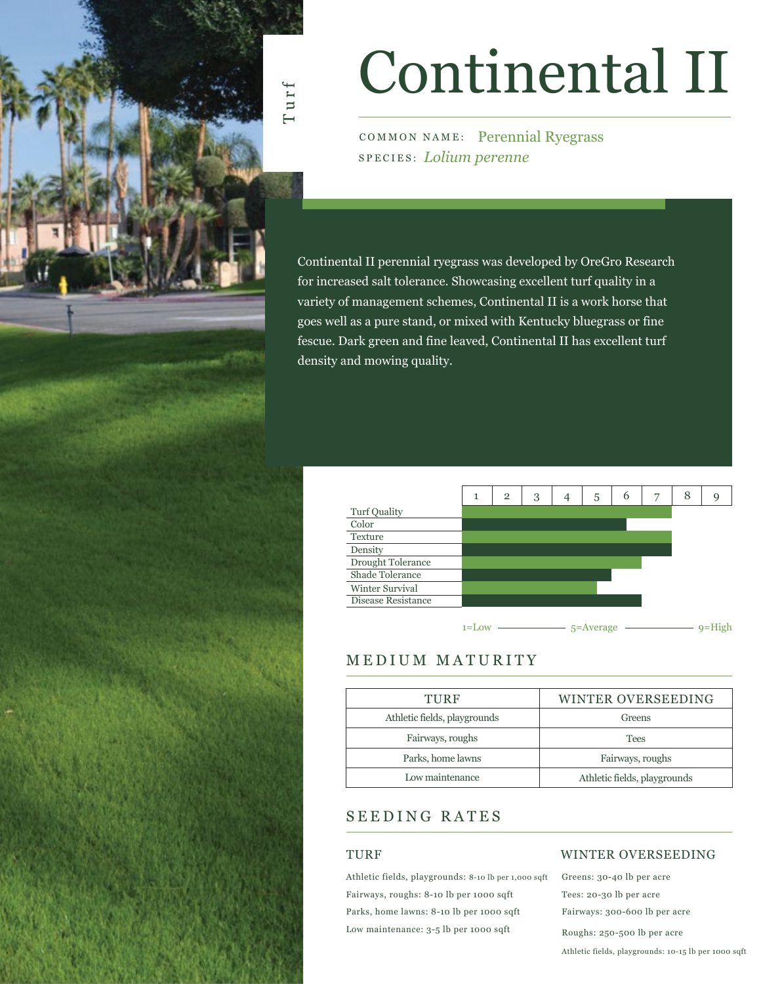

# Continental II

COMMON NAME: Perennial Ryegrass SPECIES: *Lolium perenne*

Continental II perennial ryegrass was developed by OreGro Research for increased salt tolerance. Showcasing excellent turf quality in a variety of management schemes, Continental II is a work horse that goes well as a pure stand, or mixed with Kentucky bluegrass or fine fescue. Dark green and fine leaved, Continental II has excellent turf density and mowing quality.



### MEDIUM MATURITY

| TURF                         | WINTER OVERSEEDING           |  |  |  |  |  |  |
|------------------------------|------------------------------|--|--|--|--|--|--|
| Athletic fields, playgrounds | Greens                       |  |  |  |  |  |  |
| Fairways, roughs             | <b>Tees</b>                  |  |  |  |  |  |  |
| Parks, home lawns            | Fairways, roughs             |  |  |  |  |  |  |
| Low maintenance              | Athletic fields, playgrounds |  |  |  |  |  |  |
|                              |                              |  |  |  |  |  |  |

### SEEDING RATES

### TURF

Athletic fields, playgrounds: 8-10 lb per 1,000 sqft Fairways, roughs: 8-10 lb per 1000 sqft Parks, home lawns: 8-10 lb per 1000 sqft Low maintenance: 3-5 lb per 1000 sqft

### WINTER OVERSEEDING

Greens: 30-40 lb per acre Tees: 20-30 lb per acre Fairways: 300-600 lb per acre Roughs: 250-500 lb per acre Athletic fields, playgrounds: 10-15 lb per 1000 sqft